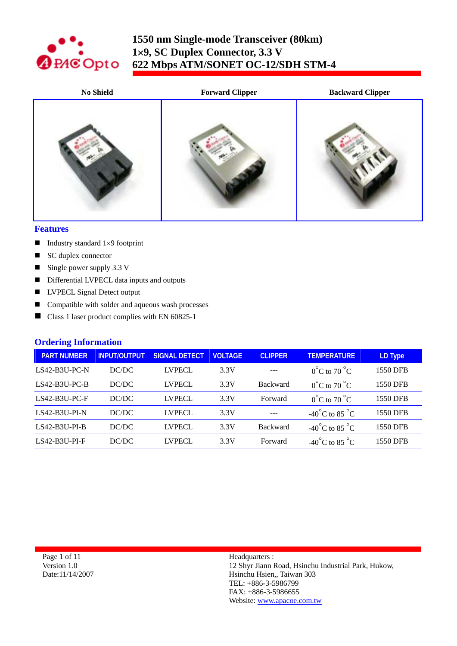

| <b>No Shield</b> | <b>Forward Clipper</b> | <b>Backward Clipper</b> |
|------------------|------------------------|-------------------------|
|                  |                        |                         |

#### **Features**

- Industry standard  $1\times9$  footprint
- SC duplex connector
- Single power supply  $3.3 \text{ V}$
- Differential LVPECL data inputs and outputs
- **LVPECL Signal Detect output**
- Compatible with solder and aqueous wash processes
- Class 1 laser product complies with EN 60825-1

### **Ordering Information**

| <b>PART NUMBER</b> | <b>INPUT/OUTPUT</b> | <b>SIGNAL DETECT</b> | <b>VOLTAGE</b> | <b>CLIPPER</b>  | <b>TEMPERATURE</b>                 | LD Type  |
|--------------------|---------------------|----------------------|----------------|-----------------|------------------------------------|----------|
| LS42-B3U-PC-N      | DC/DC               | <b>LVPECL</b>        | 3.3V           |                 | $0^{\circ}$ C to 70 $^{\circ}$ C   | 1550 DFB |
| $LS42-B3U-PC-B$    | DC/DC               | <b>LVPECL</b>        | 3.3V           | <b>Backward</b> | $0^{\circ}$ C to 70 $^{\circ}$ C   | 1550 DFB |
| $LS42-B3U-PC-F$    | DC/DC               | <b>LVPECL</b>        | 3.3V           | Forward         | $0^{\circ}$ C to 70 $^{\circ}$ C   | 1550 DFB |
| $LS42-B3U-PI-N$    | DC/DC               | <b>LVPECL</b>        | 3.3V           | $---$           | -40°C to 85 °C                     | 1550 DFB |
| $LS42-B3U-PI-B$    | DC/DC               | <b>LVPECL</b>        | 3.3V           | <b>Backward</b> | -40°C to 85 °C                     | 1550 DFB |
| $LS42-B3U-PI-F$    | DC/DC               | <b>LVPECL</b>        | 3.3V           | Forward         | $-40^{\circ}$ C to 85 $^{\circ}$ C | 1550 DFB |

Page 1 of 11 Version 1.0 Date:11/14/2007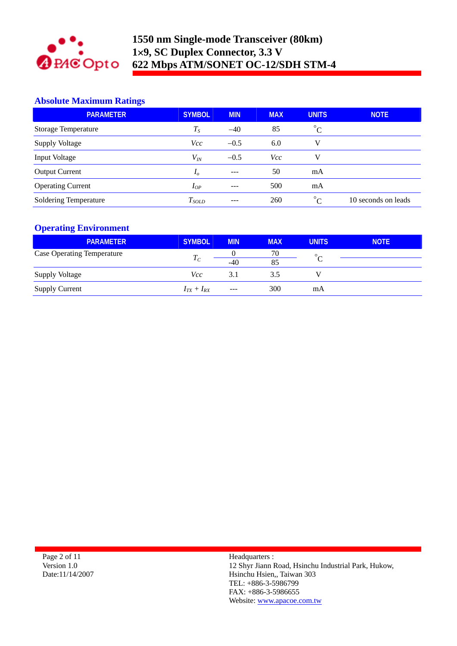

# **Absolute Maximum Ratings**

| <b>PARAMETER</b>             | <b>SYMBOL</b> | <b>MIN</b> | <b>MAX</b> | <b>UNITS</b>          | <b>NOTE</b>         |
|------------------------------|---------------|------------|------------|-----------------------|---------------------|
| <b>Storage Temperature</b>   | $T_{S}$       | $-40$      | 85         | $\circ$<br>Ć          |                     |
| <b>Supply Voltage</b>        | <i>Vcc</i>    | $-0.5$     | 6.0        |                       |                     |
| Input Voltage                | $V_{I\!N}$    | $-0.5$     | Vcc        |                       |                     |
| <b>Output Current</b>        | $I_{o}$       | $- - -$    | 50         | mA                    |                     |
| <b>Operating Current</b>     | $I_{OP}$      | ---        | 500        | mA                    |                     |
| <b>Soldering Temperature</b> | $T_{SOLD}$    | $- - -$    | 260        | $\circ$<br>$\sqrt{ }$ | 10 seconds on leads |

# **Operating Environment**

| <b>PARAMETER</b>                  | <b>SYMBOL</b>     | <b>MIN</b> | <b>MAX</b> | <b>UNITS</b> | <b>NOTE</b> |
|-----------------------------------|-------------------|------------|------------|--------------|-------------|
| <b>Case Operating Temperature</b> |                   |            | 70         | $\circ$      |             |
|                                   | $I_C$             | $-40$      | 85         |              |             |
| <b>Supply Voltage</b>             | Vcc               | 3.1        | 3.5        |              |             |
| <b>Supply Current</b>             | $I_{TX} + I_{RX}$ | ---        | 300        | mA           |             |

Page 2 of 11 Version 1.0 Date:11/14/2007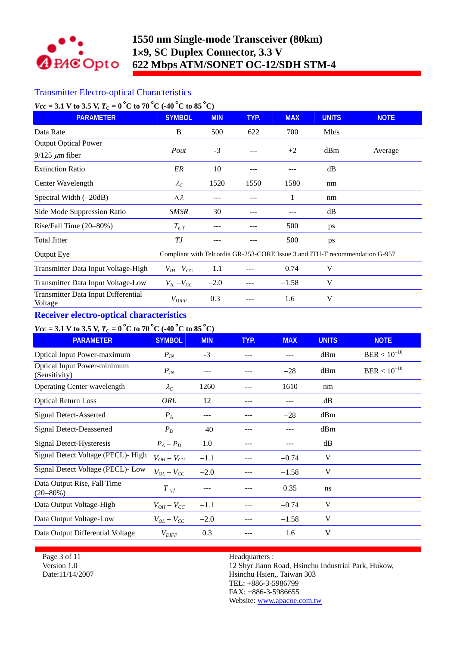

# Transmitter Electro-optical Characteristics

| $Vec = 3.1$ V to 3.5 V, $T_c = 0$ °C to 70°C (-40°C to 85°C) |                                                                             |            |      |            |              |             |
|--------------------------------------------------------------|-----------------------------------------------------------------------------|------------|------|------------|--------------|-------------|
| <b>PARAMETER</b>                                             | <b>SYMBOL</b>                                                               | <b>MIN</b> | TYP. | <b>MAX</b> | <b>UNITS</b> | <b>NOTE</b> |
| Data Rate                                                    | B                                                                           | 500        | 622  | 700        | Mb/s         |             |
| <b>Output Optical Power</b>                                  |                                                                             |            |      |            |              |             |
| $9/125 \ \mu m$ fiber                                        | Pout                                                                        | $-3$       |      | $+2$       | dBm          | Average     |
| <b>Extinction Ratio</b>                                      | ER                                                                          | 10         | ---  |            | dB           |             |
| Center Wavelength                                            | $\lambda_C$                                                                 | 1520       | 1550 | 1580       | nm           |             |
| Spectral Width $(-20dB)$                                     | Δλ                                                                          |            |      |            | nm           |             |
| Side Mode Suppression Ratio                                  | <b>SMSR</b>                                                                 | 30         |      |            | dB           |             |
| Rise/Fall Time (20-80%)                                      | $T_{r,f}$                                                                   | ---        |      | 500        | ps           |             |
| <b>Total Jitter</b>                                          | ТJ                                                                          |            |      | 500        | ps           |             |
| Output Eye                                                   | Compliant with Telcordia GR-253-CORE Issue 3 and ITU-T recommendation G-957 |            |      |            |              |             |
| Transmitter Data Input Voltage-High                          | $V_{IH}-V_{CC}$                                                             | $-1.1$     |      | $-0.74$    | V            |             |
| Transmitter Data Input Voltage-Low                           | $V_{IL}$ – $V_{CC}$                                                         | $-2.0$     |      | $-1.58$    | V            |             |
| Transmitter Data Input Differential<br>Voltage               | $V_{\text{DIFF}}$                                                           | 0.3        |      | 1.6        | V            |             |

# **Receiver electro-optical characteristics**

# *<u>Vcc* = 3.1 V to 3.5 V,  $T_C = 0^\circ$ C to 70 °C (-40 °C to 85 °C)</u>

| <b>PARAMETER</b>                                    | <b>SYMBOL</b>       | <b>MIN</b> | TYP. | <b>MAX</b> | <b>UNITS</b>  | <b>NOTE</b>               |
|-----------------------------------------------------|---------------------|------------|------|------------|---------------|---------------------------|
| Optical Input Power-maximum                         | $P_{IN}$            | $-3$       |      | ---        | dBm           | $\mathrm{BER} < 10^{-10}$ |
| <b>Optical Input Power-minimum</b><br>(Sensitivity) | $P_{IN}$            | $- - -$    |      | $-28$      | dBm           | $\mathrm{BER} < 10^{-10}$ |
| <b>Operating Center wavelength</b>                  | $\lambda_C$         | 1260       |      | 1610       | nm            |                           |
| <b>Optical Return Loss</b>                          | ORL                 | 12         |      |            | dB            |                           |
| <b>Signal Detect-Asserted</b>                       | $P_{A}$             |            |      | $-28$      | dBm           |                           |
| <b>Signal Detect-Deasserted</b>                     | $P_D$               | $-40$      |      |            | dBm           |                           |
| Signal Detect-Hysteresis                            | $P_A - P_D$         | 1.0        |      |            | dB            |                           |
| Signal Detect Voltage (PECL)- High                  | $V_{OH}-V_{CC}$     | $-1.1$     |      | $-0.74$    | V             |                           |
| Signal Detect Voltage (PECL)- Low                   | $V_{OL} - V_{CC}$   | $-2.0$     |      | $-1.58$    | V             |                           |
| Data Output Rise, Fall Time<br>$(20 - 80\%)$        | $T_{r,f}$           | ---        |      | 0.35       | <sub>ns</sub> |                           |
| Data Output Voltage-High                            | $V_{OH}-V_{CC}$     | $-1.1$     |      | $-0.74$    | V             |                           |
| Data Output Voltage-Low                             | $V_{OL}-V_{CC}$     | $-2.0$     |      | $-1.58$    | V             |                           |
| Data Output Differential Voltage                    | $V_{\mathit{DIFF}}$ | 0.3        |      | 1.6        | V             |                           |

Page 3 of 11 Version 1.0 Date:11/14/2007 Headquarters :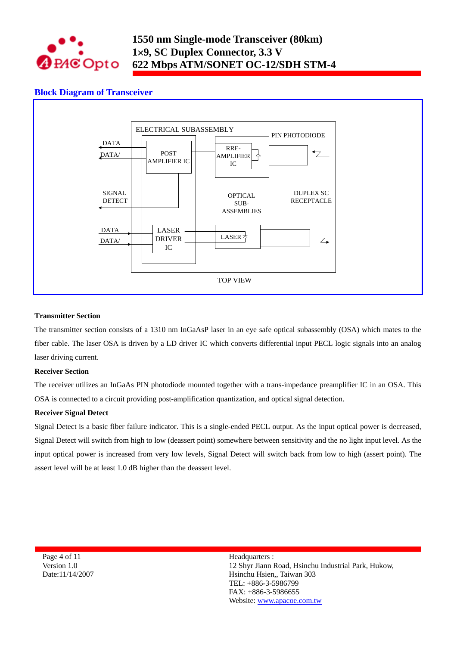

### **Block Diagram of Transceiver**



#### **Transmitter Section**

The transmitter section consists of a 1310 nm InGaAsP laser in an eye safe optical subassembly (OSA) which mates to the fiber cable. The laser OSA is driven by a LD driver IC which converts differential input PECL logic signals into an analog laser driving current.

#### **Receiver Section**

The receiver utilizes an InGaAs PIN photodiode mounted together with a trans-impedance preamplifier IC in an OSA. This OSA is connected to a circuit providing post-amplification quantization, and optical signal detection.

#### **Receiver Signal Detect**

Signal Detect is a basic fiber failure indicator. This is a single-ended PECL output. As the input optical power is decreased, Signal Detect will switch from high to low (deassert point) somewhere between sensitivity and the no light input level. As the input optical power is increased from very low levels, Signal Detect will switch back from low to high (assert point). The assert level will be at least 1.0 dB higher than the deassert level.

Page 4 of 11 Version 1.0 Date:11/14/2007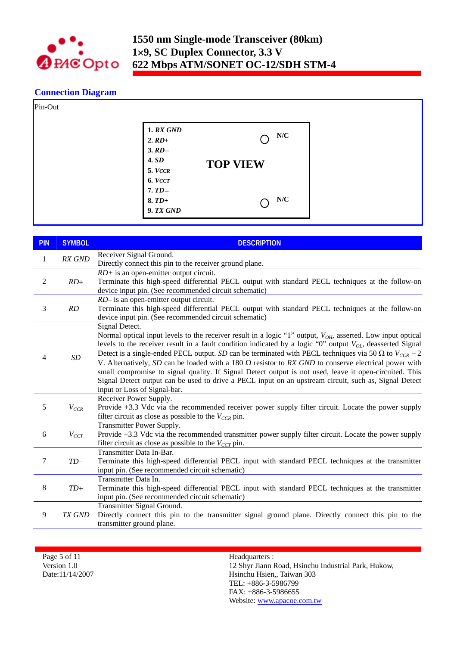

# **Connection Diagram**

| Pin-Out |                                          |                 |  |
|---------|------------------------------------------|-----------------|--|
|         | <b>1. RX GND</b><br>$2. RD+$<br>$3. RD-$ | N/C             |  |
|         | <b>4. SD</b><br>5. VCCR                  | <b>TOP VIEW</b> |  |
|         | 6. VCCT<br>$7.TD-$                       | N/C             |  |
|         | $8. T D+$<br>9. TX GND                   |                 |  |

| <b>PIN</b>     | <b>SYMBOL</b> | <b>DESCRIPTION</b>                                                                                                                                                                                                                                                                                                                                                                                                                                                                                                                                                                                                                                                                                                                          |
|----------------|---------------|---------------------------------------------------------------------------------------------------------------------------------------------------------------------------------------------------------------------------------------------------------------------------------------------------------------------------------------------------------------------------------------------------------------------------------------------------------------------------------------------------------------------------------------------------------------------------------------------------------------------------------------------------------------------------------------------------------------------------------------------|
| $\mathbf{1}$   | RX GND        | Receiver Signal Ground.<br>Directly connect this pin to the receiver ground plane.                                                                                                                                                                                                                                                                                                                                                                                                                                                                                                                                                                                                                                                          |
| $\overline{2}$ | $RD+$         | $RD$ + is an open-emitter output circuit.<br>Terminate this high-speed differential PECL output with standard PECL techniques at the follow-on<br>device input pin. (See recommended circuit schematic)                                                                                                                                                                                                                                                                                                                                                                                                                                                                                                                                     |
| 3              | $RD-$         | RD- is an open-emitter output circuit.<br>Terminate this high-speed differential PECL output with standard PECL techniques at the follow-on<br>device input pin. (See recommended circuit schematic)                                                                                                                                                                                                                                                                                                                                                                                                                                                                                                                                        |
| 4              | SD            | Signal Detect.<br>Normal optical input levels to the receiver result in a logic "1" output, $V_{OH}$ , asserted. Low input optical<br>levels to the receiver result in a fault condition indicated by a logic "0" output $V_{OL}$ , deasserted Signal<br>Detect is a single-ended PECL output. SD can be terminated with PECL techniques via 50 $\Omega$ to $V_{CCR}$ – 2<br>V. Alternatively, SD can be loaded with a 180 $\Omega$ resistor to RX GND to conserve electrical power with<br>small compromise to signal quality. If Signal Detect output is not used, leave it open-circuited. This<br>Signal Detect output can be used to drive a PECL input on an upstream circuit, such as, Signal Detect<br>input or Loss of Signal-bar. |
| 5              | $V_{CCR}$     | Receiver Power Supply.<br>Provide +3.3 Vdc via the recommended receiver power supply filter circuit. Locate the power supply<br>filter circuit as close as possible to the $V_{CCR}$ pin.                                                                                                                                                                                                                                                                                                                                                                                                                                                                                                                                                   |
| 6              | $V_{CCT}$     | Transmitter Power Supply.<br>Provide +3.3 Vdc via the recommended transmitter power supply filter circuit. Locate the power supply<br>filter circuit as close as possible to the $V_{CCT}$ pin.                                                                                                                                                                                                                                                                                                                                                                                                                                                                                                                                             |
| 7              | $TD-$         | Transmitter Data In-Bar.<br>Terminate this high-speed differential PECL input with standard PECL techniques at the transmitter<br>input pin. (See recommended circuit schematic)                                                                                                                                                                                                                                                                                                                                                                                                                                                                                                                                                            |
| $8\,$          | $TD+$         | Transmitter Data In.<br>Terminate this high-speed differential PECL input with standard PECL techniques at the transmitter<br>input pin. (See recommended circuit schematic)                                                                                                                                                                                                                                                                                                                                                                                                                                                                                                                                                                |
| 9              | <b>TX GND</b> | Transmitter Signal Ground.<br>Directly connect this pin to the transmitter signal ground plane. Directly connect this pin to the<br>transmitter ground plane.                                                                                                                                                                                                                                                                                                                                                                                                                                                                                                                                                                               |

Page 5 of 11 Version 1.0 Date:11/14/2007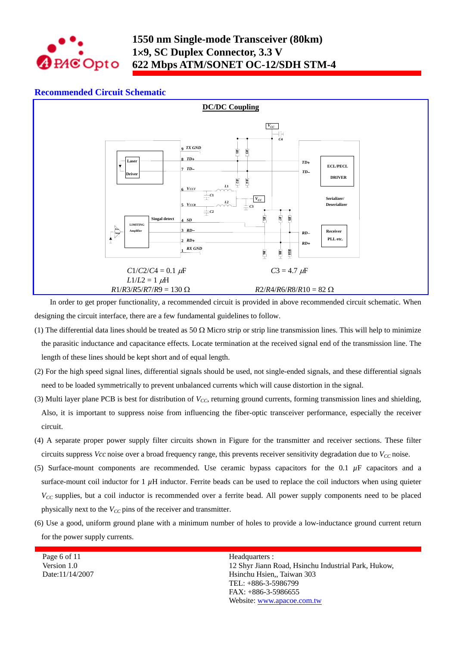

### **Recommended Circuit Schematic**



In order to get proper functionality, a recommended circuit is provided in above recommended circuit schematic. When designing the circuit interface, there are a few fundamental guidelines to follow.

- (1) The differential data lines should be treated as 50  $\Omega$  Micro strip or strip line transmission lines. This will help to minimize the parasitic inductance and capacitance effects. Locate termination at the received signal end of the transmission line. The length of these lines should be kept short and of equal length.
- (2) For the high speed signal lines, differential signals should be used, not single-ended signals, and these differential signals need to be loaded symmetrically to prevent unbalanced currents which will cause distortion in the signal.
- (3) Multi layer plane PCB is best for distribution of *VCC*, returning ground currents, forming transmission lines and shielding, Also, it is important to suppress noise from influencing the fiber-optic transceiver performance, especially the receiver circuit.
- (4) A separate proper power supply filter circuits shown in Figure for the transmitter and receiver sections. These filter circuits suppress *Vcc* noise over a broad frequency range, this prevents receiver sensitivity degradation due to  $V_{CC}$  noise.
- (5) Surface-mount components are recommended. Use ceramic bypass capacitors for the 0.1  $\mu$ F capacitors and a surface-mount coil inductor for  $1 \mu$ H inductor. Ferrite beads can be used to replace the coil inductors when using quieter *V<sub>CC</sub>* supplies, but a coil inductor is recommended over a ferrite bead. All power supply components need to be placed physically next to the  $V_{CC}$  pins of the receiver and transmitter.
- (6) Use a good, uniform ground plane with a minimum number of holes to provide a low-inductance ground current return for the power supply currents.

Page 6 of 11 Version 1.0 Date:11/14/2007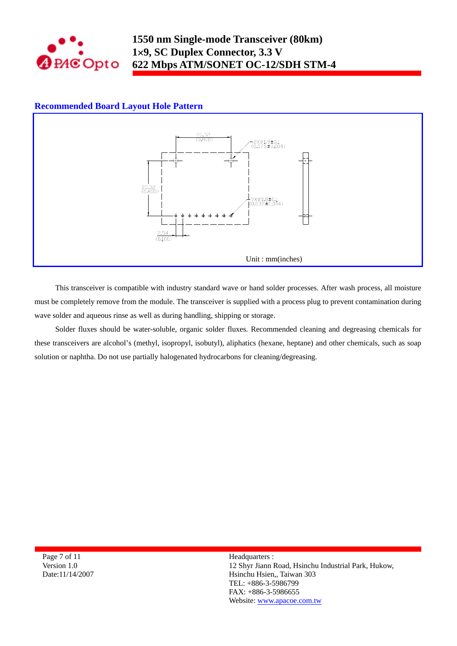

## **Recommended Board Layout Hole Pattern**



This transceiver is compatible with industry standard wave or hand solder processes. After wash process, all moisture must be completely remove from the module. The transceiver is supplied with a process plug to prevent contamination during wave solder and aqueous rinse as well as during handling, shipping or storage.

Solder fluxes should be water-soluble, organic solder fluxes. Recommended cleaning and degreasing chemicals for these transceivers are alcohol's (methyl, isopropyl, isobutyl), aliphatics (hexane, heptane) and other chemicals, such as soap solution or naphtha. Do not use partially halogenated hydrocarbons for cleaning/degreasing.

Page 7 of 11 Version 1.0 Date:11/14/2007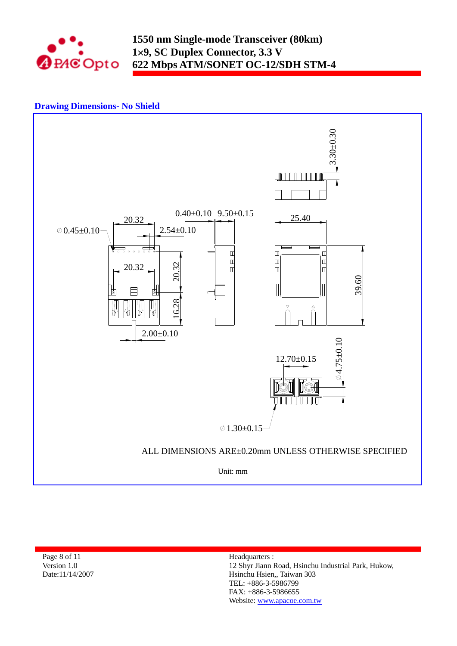

## **Drawing Dimensions- No Shield**



Page 8 of 11 Version 1.0 Date:11/14/2007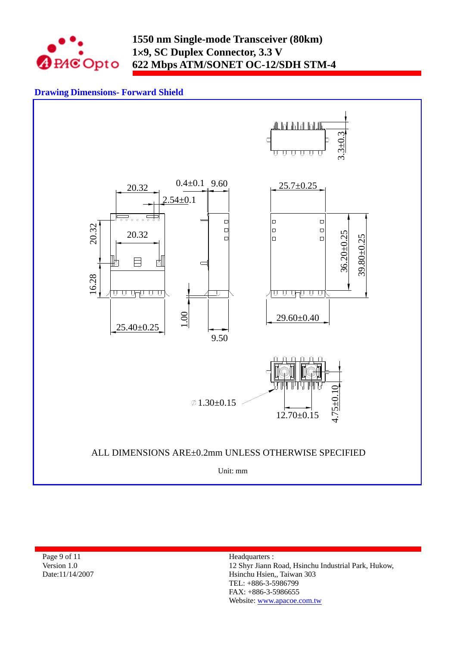

# **Drawing Dimensions- Forward Shield**



Page 9 of 11 Version 1.0 Date:11/14/2007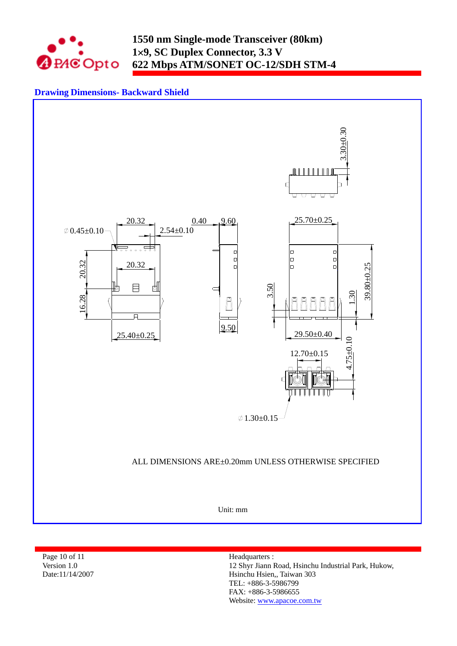

# **Drawing Dimensions- Backward Shield**



Page 10 of 11 Version 1.0 Date:11/14/2007